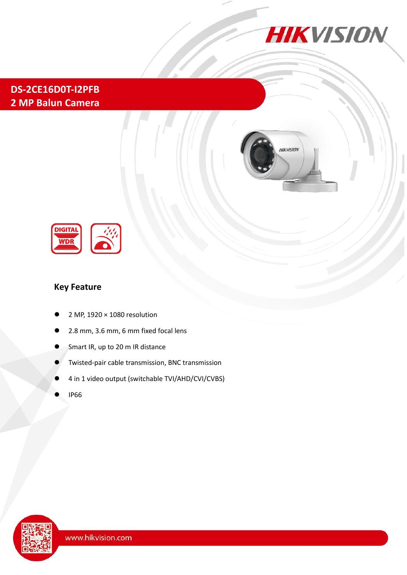

## **[DS-2CE16D0T-I2PFB](https://www.ultramaster.ro/supraveghere-video.html) 2 MP Balun Camera**





### **Key Feature**

- 2 MP, 1920 × 1080 resolution
- 2.8 mm, 3.6 mm, 6 mm fixed focal lens
- Smart IR, up to 20 m IR distance
- Twisted-pair cable transmission, BNC transmission
- 4 in 1 video output (switchable TVI/AHD/CVI/CVBS)
- IP66

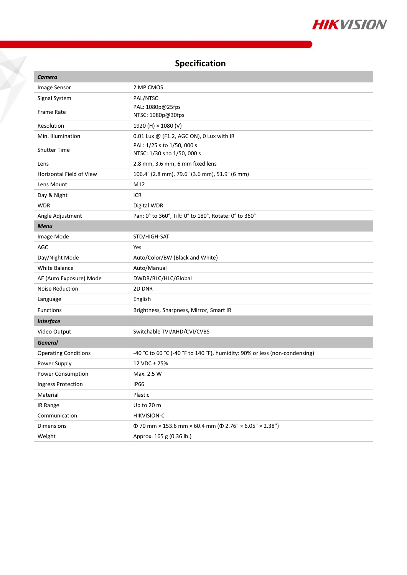

# **Specification**

X

| <b>Camera</b>                   |                                                                            |
|---------------------------------|----------------------------------------------------------------------------|
| Image Sensor                    | 2 MP CMOS                                                                  |
| Signal System                   | PAL/NTSC                                                                   |
| <b>Frame Rate</b>               | PAL: 1080p@25fps<br>NTSC: 1080p@30fps                                      |
| Resolution                      | 1920 (H) × 1080 (V)                                                        |
| Min. Illumination               | 0.01 Lux @ (F1.2, AGC ON), 0 Lux with IR                                   |
| <b>Shutter Time</b>             | PAL: 1/25 s to 1/50, 000 s<br>NTSC: 1/30 s to 1/50, 000 s                  |
| Lens                            | 2.8 mm, 3.6 mm, 6 mm fixed lens                                            |
| <b>Horizontal Field of View</b> | 106.4° (2.8 mm), 79.6° (3.6 mm), 51.9° (6 mm)                              |
| Lens Mount                      | M12                                                                        |
| Day & Night                     | <b>ICR</b>                                                                 |
| <b>WDR</b>                      | Digital WDR                                                                |
| Angle Adjustment                | Pan: 0° to 360°, Tilt: 0° to 180°, Rotate: 0° to 360°                      |
| <b>Menu</b>                     |                                                                            |
| Image Mode                      | STD/HIGH-SAT                                                               |
| AGC                             | Yes                                                                        |
| Day/Night Mode                  | Auto/Color/BW (Black and White)                                            |
| <b>White Balance</b>            | Auto/Manual                                                                |
| AE (Auto Exposure) Mode         | DWDR/BLC/HLC/Global                                                        |
| <b>Noise Reduction</b>          | 2D DNR                                                                     |
| Language                        | English                                                                    |
| Functions                       | Brightness, Sharpness, Mirror, Smart IR                                    |
| <b>Interface</b>                |                                                                            |
| Video Output                    | Switchable TVI/AHD/CVI/CVBS                                                |
| <b>General</b>                  |                                                                            |
| <b>Operating Conditions</b>     | -40 °C to 60 °C (-40 °F to 140 °F), humidity: 90% or less (non-condensing) |
| Power Supply                    | 12 VDC ± 25%                                                               |
| Power Consumption               | Max. 2.5 W                                                                 |
| <b>Ingress Protection</b>       | <b>IP66</b>                                                                |
| Material                        | Plastic                                                                    |
| IR Range                        | Up to 20 m                                                                 |
| Communication                   | HIKVISION-C                                                                |
| Dimensions                      | $\Phi$ 70 mm × 153.6 mm × 60.4 mm ( $\Phi$ 2.76" × 6.05" × 2.38")          |
| Weight                          | Approx. 165 g (0.36 lb.)                                                   |